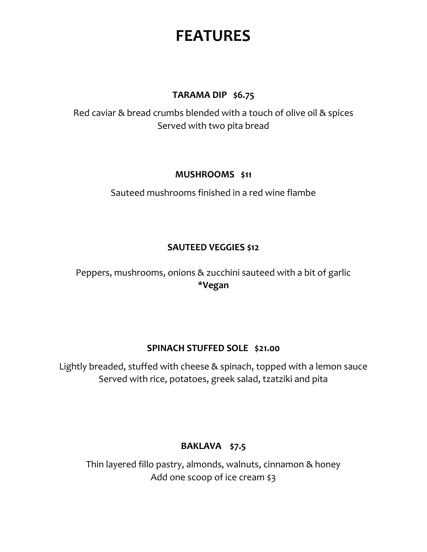# **FEATURES**

## **TARAMA DIP \$6.75**

Red caviar & bread crumbs blended with a touch of olive oil & spices Served with two pita bread

# **MUSHROOMS \$11**

Sauteed mushrooms finished in a red wine flambe

# **SAUTEED VEGGIES \$12**

Peppers, mushrooms, onions & zucchini sauteed with a bit of garlic **\*Vegan**

## **SPINACH STUFFED SOLE \$21.00**

Lightly breaded, stuffed with cheese & spinach, topped with a lemon sauce Served with rice, potatoes, greek salad, tzatziki and pita

# **BAKLAVA \$7.5**

Thin layered fillo pastry, almonds, walnuts, cinnamon & honey Add one scoop of ice cream \$3